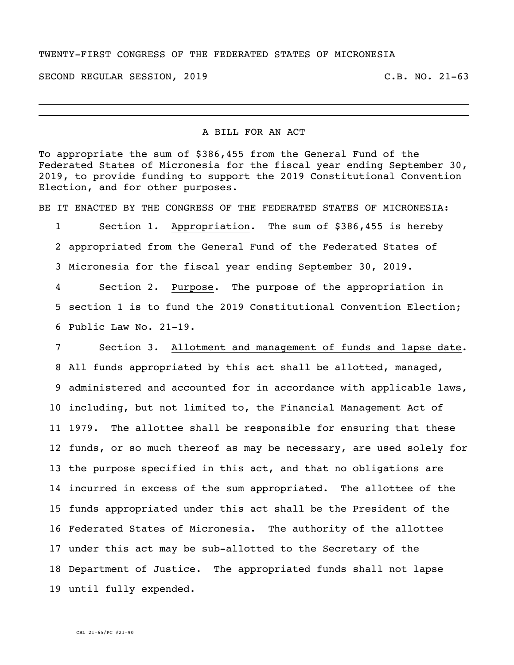## TWENTY-FIRST CONGRESS OF THE FEDERATED STATES OF MICRONESIA

SECOND REGULAR SESSION, 2019 C.B. NO. 21-63

## A BILL FOR AN ACT

To appropriate the sum of \$386,455 from the General Fund of the Federated States of Micronesia for the fiscal year ending September 30, 2019, to provide funding to support the 2019 Constitutional Convention Election, and for other purposes.

BE IT ENACTED BY THE CONGRESS OF THE FEDERATED STATES OF MICRONESIA:

 Section 1. Appropriation. The sum of \$386,455 is hereby appropriated from the General Fund of the Federated States of Micronesia for the fiscal year ending September 30, 2019.

 Section 2. Purpose. The purpose of the appropriation in section 1 is to fund the 2019 Constitutional Convention Election; Public Law No. 21-19.

 Section 3. Allotment and management of funds and lapse date. All funds appropriated by this act shall be allotted, managed, administered and accounted for in accordance with applicable laws, including, but not limited to, the Financial Management Act of 1979. The allottee shall be responsible for ensuring that these funds, or so much thereof as may be necessary, are used solely for the purpose specified in this act, and that no obligations are incurred in excess of the sum appropriated. The allottee of the funds appropriated under this act shall be the President of the Federated States of Micronesia. The authority of the allottee under this act may be sub-allotted to the Secretary of the Department of Justice. The appropriated funds shall not lapse until fully expended.